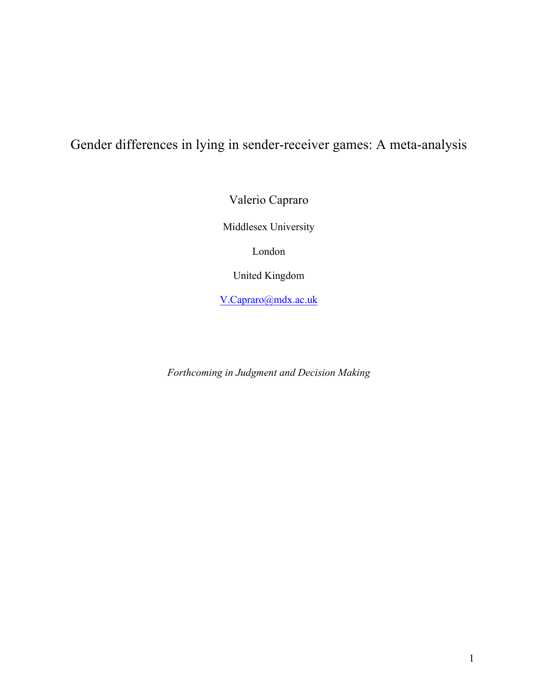# Gender differences in lying in sender-receiver games: A meta-analysis

Valerio Capraro

Middlesex University

London

United Kingdom

V.Capraro@mdx.ac.uk

*Forthcoming in Judgment and Decision Making*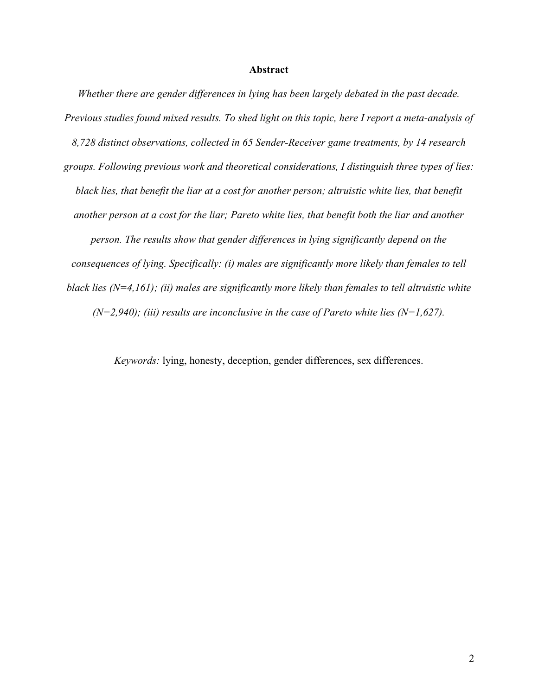#### **Abstract**

*Whether there are gender differences in lying has been largely debated in the past decade. Previous studies found mixed results. To shed light on this topic, here I report a meta-analysis of 8,728 distinct observations, collected in 65 Sender-Receiver game treatments, by 14 research groups. Following previous work and theoretical considerations, I distinguish three types of lies: black lies, that benefit the liar at a cost for another person; altruistic white lies, that benefit another person at a cost for the liar; Pareto white lies, that benefit both the liar and another person. The results show that gender differences in lying significantly depend on the consequences of lying. Specifically: (i) males are significantly more likely than females to tell black lies (N=4,161); (ii) males are significantly more likely than females to tell altruistic white (N=2,940); (iii) results are inconclusive in the case of Pareto white lies (N=1,627).*

*Keywords:* lying, honesty, deception, gender differences, sex differences.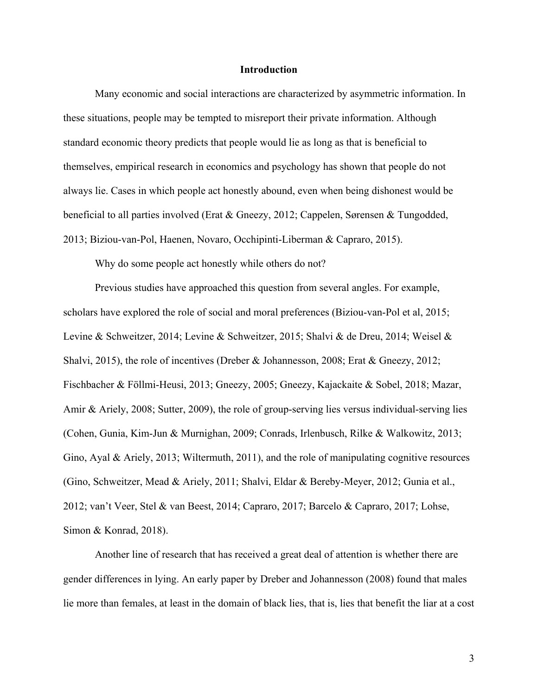#### **Introduction**

Many economic and social interactions are characterized by asymmetric information. In these situations, people may be tempted to misreport their private information. Although standard economic theory predicts that people would lie as long as that is beneficial to themselves, empirical research in economics and psychology has shown that people do not always lie. Cases in which people act honestly abound, even when being dishonest would be beneficial to all parties involved (Erat & Gneezy, 2012; Cappelen, Sørensen & Tungodded, 2013; Biziou-van-Pol, Haenen, Novaro, Occhipinti-Liberman & Capraro, 2015).

Why do some people act honestly while others do not?

Previous studies have approached this question from several angles. For example, scholars have explored the role of social and moral preferences (Biziou-van-Pol et al, 2015; Levine & Schweitzer, 2014; Levine & Schweitzer, 2015; Shalvi & de Dreu, 2014; Weisel & Shalvi, 2015), the role of incentives (Dreber & Johannesson, 2008; Erat & Gneezy, 2012; Fischbacher & Föllmi-Heusi, 2013; Gneezy, 2005; Gneezy, Kajackaite & Sobel, 2018; Mazar, Amir & Ariely, 2008; Sutter, 2009), the role of group-serving lies versus individual-serving lies (Cohen, Gunia, Kim-Jun & Murnighan, 2009; Conrads, Irlenbusch, Rilke & Walkowitz, 2013; Gino, Ayal & Ariely, 2013; Wiltermuth, 2011), and the role of manipulating cognitive resources (Gino, Schweitzer, Mead & Ariely, 2011; Shalvi, Eldar & Bereby-Meyer, 2012; Gunia et al., 2012; van't Veer, Stel & van Beest, 2014; Capraro, 2017; Barcelo & Capraro, 2017; Lohse, Simon & Konrad, 2018).

Another line of research that has received a great deal of attention is whether there are gender differences in lying. An early paper by Dreber and Johannesson (2008) found that males lie more than females, at least in the domain of black lies, that is, lies that benefit the liar at a cost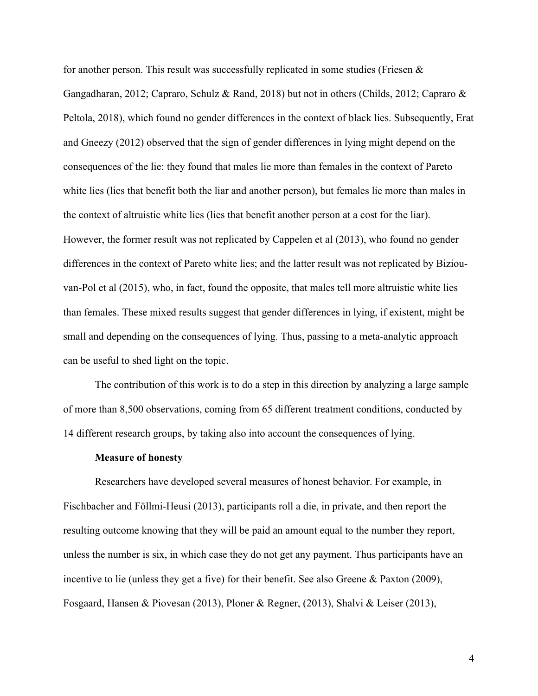for another person. This result was successfully replicated in some studies (Friesen  $\&$ Gangadharan, 2012; Capraro, Schulz & Rand, 2018) but not in others (Childs, 2012; Capraro & Peltola, 2018), which found no gender differences in the context of black lies. Subsequently, Erat and Gneezy (2012) observed that the sign of gender differences in lying might depend on the consequences of the lie: they found that males lie more than females in the context of Pareto white lies (lies that benefit both the liar and another person), but females lie more than males in the context of altruistic white lies (lies that benefit another person at a cost for the liar). However, the former result was not replicated by Cappelen et al (2013), who found no gender differences in the context of Pareto white lies; and the latter result was not replicated by Biziouvan-Pol et al (2015), who, in fact, found the opposite, that males tell more altruistic white lies than females. These mixed results suggest that gender differences in lying, if existent, might be small and depending on the consequences of lying. Thus, passing to a meta-analytic approach can be useful to shed light on the topic.

The contribution of this work is to do a step in this direction by analyzing a large sample of more than 8,500 observations, coming from 65 different treatment conditions, conducted by 14 different research groups, by taking also into account the consequences of lying.

#### **Measure of honesty**

Researchers have developed several measures of honest behavior. For example, in Fischbacher and Föllmi-Heusi (2013), participants roll a die, in private, and then report the resulting outcome knowing that they will be paid an amount equal to the number they report, unless the number is six, in which case they do not get any payment. Thus participants have an incentive to lie (unless they get a five) for their benefit. See also Greene & Paxton (2009), Fosgaard, Hansen & Piovesan (2013), Ploner & Regner, (2013), Shalvi & Leiser (2013),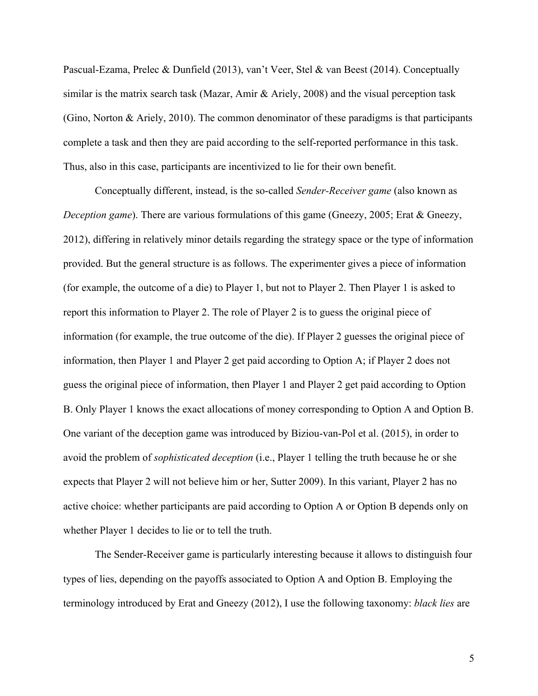Pascual-Ezama, Prelec & Dunfield (2013), van't Veer, Stel & van Beest (2014). Conceptually similar is the matrix search task (Mazar, Amir & Ariely, 2008) and the visual perception task (Gino, Norton & Ariely, 2010). The common denominator of these paradigms is that participants complete a task and then they are paid according to the self-reported performance in this task. Thus, also in this case, participants are incentivized to lie for their own benefit.

Conceptually different, instead, is the so-called *Sender-Receiver game* (also known as *Deception game*). There are various formulations of this game (Gneezy, 2005; Erat & Gneezy, 2012), differing in relatively minor details regarding the strategy space or the type of information provided. But the general structure is as follows. The experimenter gives a piece of information (for example, the outcome of a die) to Player 1, but not to Player 2. Then Player 1 is asked to report this information to Player 2. The role of Player 2 is to guess the original piece of information (for example, the true outcome of the die). If Player 2 guesses the original piece of information, then Player 1 and Player 2 get paid according to Option A; if Player 2 does not guess the original piece of information, then Player 1 and Player 2 get paid according to Option B. Only Player 1 knows the exact allocations of money corresponding to Option A and Option B. One variant of the deception game was introduced by Biziou-van-Pol et al. (2015), in order to avoid the problem of *sophisticated deception* (i.e., Player 1 telling the truth because he or she expects that Player 2 will not believe him or her, Sutter 2009). In this variant, Player 2 has no active choice: whether participants are paid according to Option A or Option B depends only on whether Player 1 decides to lie or to tell the truth.

The Sender-Receiver game is particularly interesting because it allows to distinguish four types of lies, depending on the payoffs associated to Option A and Option B. Employing the terminology introduced by Erat and Gneezy (2012), I use the following taxonomy: *black lies* are

5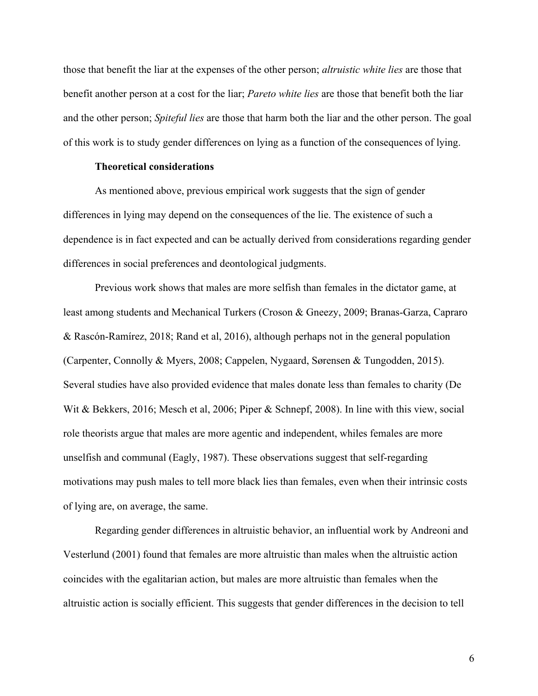those that benefit the liar at the expenses of the other person; *altruistic white lies* are those that benefit another person at a cost for the liar; *Pareto white lies* are those that benefit both the liar and the other person; *Spiteful lies* are those that harm both the liar and the other person. The goal of this work is to study gender differences on lying as a function of the consequences of lying.

# **Theoretical considerations**

As mentioned above, previous empirical work suggests that the sign of gender differences in lying may depend on the consequences of the lie. The existence of such a dependence is in fact expected and can be actually derived from considerations regarding gender differences in social preferences and deontological judgments.

Previous work shows that males are more selfish than females in the dictator game, at least among students and Mechanical Turkers (Croson & Gneezy, 2009; Branas-Garza, Capraro & Rascón-Ramírez, 2018; Rand et al, 2016), although perhaps not in the general population (Carpenter, Connolly & Myers, 2008; Cappelen, Nygaard, Sørensen & Tungodden, 2015). Several studies have also provided evidence that males donate less than females to charity (De Wit & Bekkers, 2016; Mesch et al, 2006; Piper & Schnepf, 2008). In line with this view, social role theorists argue that males are more agentic and independent, whiles females are more unselfish and communal (Eagly, 1987). These observations suggest that self-regarding motivations may push males to tell more black lies than females, even when their intrinsic costs of lying are, on average, the same.

Regarding gender differences in altruistic behavior, an influential work by Andreoni and Vesterlund (2001) found that females are more altruistic than males when the altruistic action coincides with the egalitarian action, but males are more altruistic than females when the altruistic action is socially efficient. This suggests that gender differences in the decision to tell

6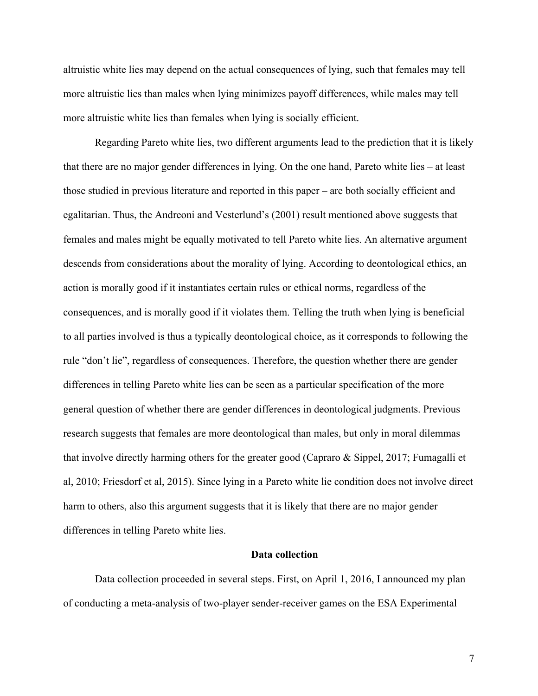altruistic white lies may depend on the actual consequences of lying, such that females may tell more altruistic lies than males when lying minimizes payoff differences, while males may tell more altruistic white lies than females when lying is socially efficient.

Regarding Pareto white lies, two different arguments lead to the prediction that it is likely that there are no major gender differences in lying. On the one hand, Pareto white lies – at least those studied in previous literature and reported in this paper – are both socially efficient and egalitarian. Thus, the Andreoni and Vesterlund's (2001) result mentioned above suggests that females and males might be equally motivated to tell Pareto white lies. An alternative argument descends from considerations about the morality of lying. According to deontological ethics, an action is morally good if it instantiates certain rules or ethical norms, regardless of the consequences, and is morally good if it violates them. Telling the truth when lying is beneficial to all parties involved is thus a typically deontological choice, as it corresponds to following the rule "don't lie", regardless of consequences. Therefore, the question whether there are gender differences in telling Pareto white lies can be seen as a particular specification of the more general question of whether there are gender differences in deontological judgments. Previous research suggests that females are more deontological than males, but only in moral dilemmas that involve directly harming others for the greater good (Capraro & Sippel, 2017; Fumagalli et al, 2010; Friesdorf et al, 2015). Since lying in a Pareto white lie condition does not involve direct harm to others, also this argument suggests that it is likely that there are no major gender differences in telling Pareto white lies.

# **Data collection**

Data collection proceeded in several steps. First, on April 1, 2016, I announced my plan of conducting a meta-analysis of two-player sender-receiver games on the ESA Experimental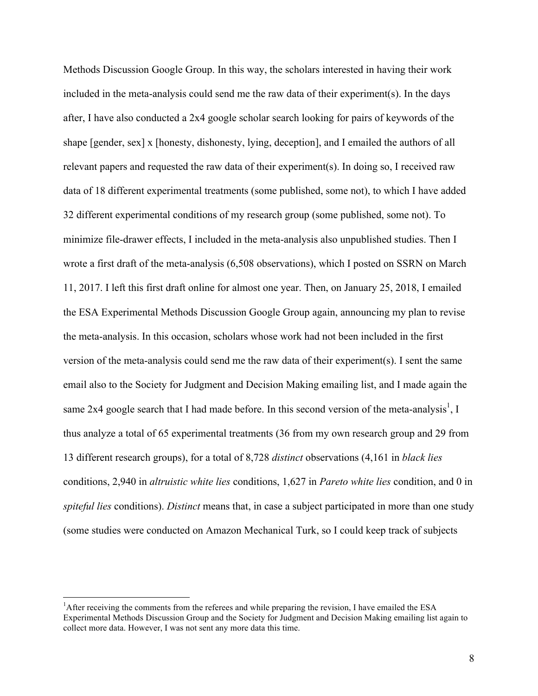Methods Discussion Google Group. In this way, the scholars interested in having their work included in the meta-analysis could send me the raw data of their experiment(s). In the days after, I have also conducted a 2x4 google scholar search looking for pairs of keywords of the shape [gender, sex] x [honesty, dishonesty, lying, deception], and I emailed the authors of all relevant papers and requested the raw data of their experiment(s). In doing so, I received raw data of 18 different experimental treatments (some published, some not), to which I have added 32 different experimental conditions of my research group (some published, some not). To minimize file-drawer effects, I included in the meta-analysis also unpublished studies. Then I wrote a first draft of the meta-analysis (6,508 observations), which I posted on SSRN on March 11, 2017. I left this first draft online for almost one year. Then, on January 25, 2018, I emailed the ESA Experimental Methods Discussion Google Group again, announcing my plan to revise the meta-analysis. In this occasion, scholars whose work had not been included in the first version of the meta-analysis could send me the raw data of their experiment(s). I sent the same email also to the Society for Judgment and Decision Making emailing list, and I made again the same 2x4 google search that I had made before. In this second version of the meta-analysis<sup>1</sup>, I thus analyze a total of 65 experimental treatments (36 from my own research group and 29 from 13 different research groups), for a total of 8,728 *distinct* observations (4,161 in *black lies* conditions, 2,940 in *altruistic white lies* conditions, 1,627 in *Pareto white lies* condition, and 0 in *spiteful lies* conditions). *Distinct* means that, in case a subject participated in more than one study (some studies were conducted on Amazon Mechanical Turk, so I could keep track of subjects

 $\frac{1}{1}$  ${}^{1}$ After receiving the comments from the referees and while preparing the revision, I have emailed the ESA Experimental Methods Discussion Group and the Society for Judgment and Decision Making emailing list again to collect more data. However, I was not sent any more data this time.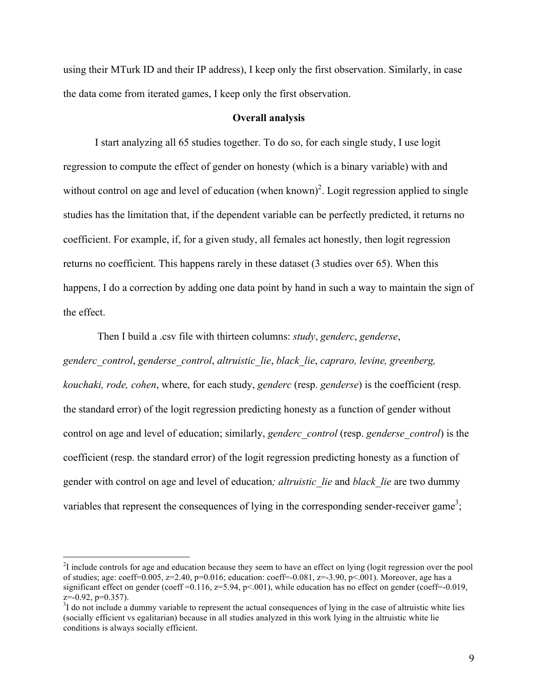using their MTurk ID and their IP address), I keep only the first observation. Similarly, in case the data come from iterated games, I keep only the first observation.

# **Overall analysis**

I start analyzing all 65 studies together. To do so, for each single study, I use logit regression to compute the effect of gender on honesty (which is a binary variable) with and without control on age and level of education (when known)<sup>2</sup>. Logit regression applied to single studies has the limitation that, if the dependent variable can be perfectly predicted, it returns no coefficient. For example, if, for a given study, all females act honestly, then logit regression returns no coefficient. This happens rarely in these dataset (3 studies over 65). When this happens, I do a correction by adding one data point by hand in such a way to maintain the sign of the effect.

Then I build a .csv file with thirteen columns: *study*, *genderc*, *genderse*, *genderc\_control*, *genderse\_control*, *altruistic\_lie*, *black\_lie*, *capraro, levine, greenberg, kouchaki, rode, cohen*, where, for each study, *genderc* (resp. *genderse*) is the coefficient (resp. the standard error) of the logit regression predicting honesty as a function of gender without control on age and level of education; similarly, *genderc\_control* (resp. *genderse\_control*) is the coefficient (resp. the standard error) of the logit regression predicting honesty as a function of gender with control on age and level of education*; altruistic\_lie* and *black\_lie* are two dummy variables that represent the consequences of lying in the corresponding sender-receiver game<sup>3</sup>;

 $\frac{1}{2}$  $I<sup>2</sup>I$  include controls for age and education because they seem to have an effect on lying (logit regression over the pool of studies; age: coeff=0.005, z=2.40, p=0.016; education: coeff=-0.081, z=-3.90, p<.001). Moreover, age has a significant effect on gender (coeff =0.116,  $z=5.94$ ,  $p<0.01$ ), while education has no effect on gender (coeff=-0.019,  $z=-0.92$ ,  $p=0.357$ ).

 $3I$  do not include a dummy variable to represent the actual consequences of lying in the case of altruistic white lies (socially efficient vs egalitarian) because in all studies analyzed in this work lying in the altruistic white lie conditions is always socially efficient.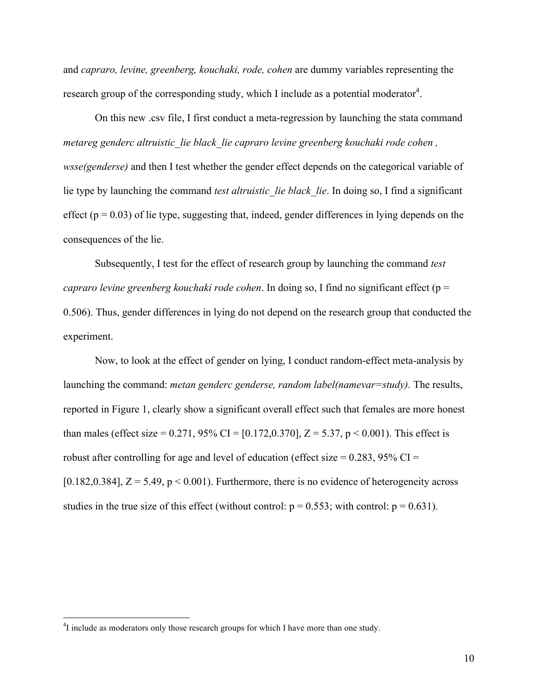and *capraro, levine, greenberg, kouchaki, rode, cohen* are dummy variables representing the research group of the corresponding study, which I include as a potential moderator<sup>4</sup>.

On this new .csv file, I first conduct a meta-regression by launching the stata command *metareg genderc altruistic\_lie black\_lie capraro levine greenberg kouchaki rode cohen , wsse(genderse)* and then I test whether the gender effect depends on the categorical variable of lie type by launching the command *test altruistic lie black lie*. In doing so, I find a significant effect ( $p = 0.03$ ) of lie type, suggesting that, indeed, gender differences in lying depends on the consequences of the lie.

Subsequently, I test for the effect of research group by launching the command *test capraro levine greenberg kouchaki rode cohen*. In doing so, I find no significant effect (p = 0.506). Thus, gender differences in lying do not depend on the research group that conducted the experiment.

Now, to look at the effect of gender on lying, I conduct random-effect meta-analysis by launching the command: *metan genderc genderse, random label(namevar=study).* The results, reported in Figure 1, clearly show a significant overall effect such that females are more honest than males (effect size = 0.271, 95% CI = [0.172,0.370], Z = 5.37, p < 0.001). This effect is robust after controlling for age and level of education (effect size =  $0.283$ ,  $95\%$  CI = [0.182,0.384],  $Z = 5.49$ ,  $p < 0.001$ ). Furthermore, there is no evidence of heterogeneity across studies in the true size of this effect (without control:  $p = 0.553$ ; with control:  $p = 0.631$ ).

 $\frac{1}{4}$ <sup>4</sup>I include as moderators only those research groups for which I have more than one study.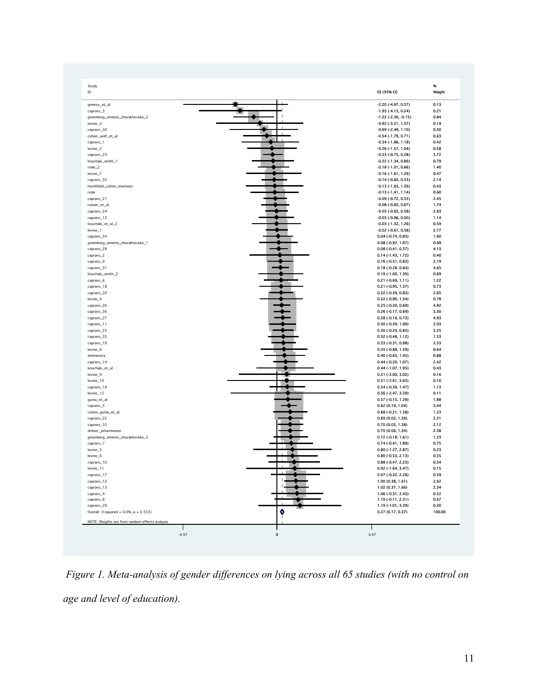| Study<br>ID                                    | ES (95% CI)                                     | 96<br>Weight |
|------------------------------------------------|-------------------------------------------------|--------------|
| gneezy_et_al                                   | -2.20 (-4.97, 0.57)                             | 0.13         |
| capraro_3                                      | $-1.95$ ( $-4.13$ , 0.24)                       | 0.21         |
| greenberg_smeets_zhurakhovska_2                | $-1.22$ ( $-2.30, -0.15$ )                      | 0.84         |
| levine_3                                       | $-0.92$ $(-3.21, 1.37)$                         | 0.19         |
| capraro_30                                     | $-0.69$ $(-2.49, 1.10)$                         | 0.30         |
| cohen_wolf_et_al                               | $-0.54$ $(-1.79, 0.71)$                         | 0.63         |
| capraro_1                                      | $-0.34$ $(-1.86, 1.18)$                         | 0.42         |
| levine_2                                       | $-0.26$ ( $-1.57$ , $1.04$ )                    | 0.58         |
| capraro_23                                     | $-0.23$ $(-0.75, 0.28)$                         | 3.72         |
| kouchaki_smith_1<br>$rode_2$                   | $-0.22$ $(-1.34, 0.89)$<br>$-0.18(-1.01, 0.66)$ | 0.79<br>1.40 |
| levine_7                                       | -0.16 (-1.61, 1.29)                             | 0.47         |
| capraro_32                                     | $-0.14$ $(-0.82, 0.53)$                         | 2.14         |
| hershfield_cohen_thomson                       | $-0.13$ $(-1.65, 1.39)$                         | 0.43         |
| rode                                           | $-0.13(-1.41, 1.14)$                            | 0.60         |
| capraro_21                                     | -0.09 (-0.72, 0.55)                             | 2.45         |
| roeser_et_al                                   | $-0.08$ $(-0.83, 0.67)$                         | 1.74         |
| capraro_24                                     | $-0.03$ $(-0.65, 0.58)$                         | 2.63         |
| capraro_15                                     | $-0.03$ $(-0.96, 0.90)$                         | 1.14         |
| kouchaki_et_al_2                               | $-0.03$ $(-1.32, 1.26)$                         | 0.59         |
| $levine_1$                                     | $-0.02$ $(-0.61, 0.58)$                         | 2.77         |
| capraro_34                                     | $0.04$ (-0.74, 0.83)                            | 1.60         |
| greenberg_smeets_zhurakhovska_1                | 0.08 (-0.92, 1.07)                              | 0.99         |
| capraro_28                                     | $0.08$ (-0.41, 0.57)                            | 4.13         |
| capraro_2                                      | $0.14 (-1.43, 1.72)$                            | 0.40         |
| capraro_9                                      | $0.16$ (-0.51, 0.83)<br>$0.18$ (-0.28, 0.64)    | 2.19<br>4.65 |
| capraro_31<br>kouchaki_smith_2                 | 0.19 (-1.00, 1.39)                              | 0.69         |
| capraro_6                                      | $0.21 (-0.69, 1.11)$                            | 1.22         |
| capraro_18                                     | 0.21 (-0.95, 1.37)                              | 0.73         |
| capraro_20                                     | $0.22$ (-0.39, 0.83)                            | 2.65         |
| levine_4                                       | 0.22 (-0.90, 1.34)                              | 0.78         |
| capraro_26                                     | $0.25$ (-0.20, 0.69)                            | 4.92         |
| capraro_36                                     | 0.26 (-0.17, 0.69)                              | 5.30         |
| capraro_27                                     | $0.28$ (-0.16, 0.73)                            | 4.93         |
| capraro_11                                     | $0.30$ (-0.39, 1.00)                            | 2.03         |
| capraro_25                                     | $0.30 (-0.24, 0.85)$                            | 3.25         |
| capraro_35                                     | 0.32 (-0.48, 1.12)                              | 1.53         |
| capraro_19                                     | 0.33 (-0.31, 0.98)                              | 2.33         |
| levine_8                                       | 0.35 (-0.89, 1.59)                              | 0.64         |
| shemereta                                      | $0.40$ (-0.65, 1.45)                            | 0.88         |
| capraro_14<br>kouchaki_et_al                   | $0.44$ (-0.20, 1.07)                            | 2.42<br>0.43 |
| levine_9                                       | 0.44 (-1.07, 1.95)<br>0.51 (-2.00, 3.02)        | 0.16         |
| levine_10                                      | $0.51$ (-2.61, 3.63)                            | 0.10         |
| capraro_16                                     | $0.54$ (-0.39, 1.47)                            | 1.13         |
| levine_12                                      | 0.56 (-2.47, 3.59)                              | 0.11         |
| gunia_et_al                                    | 0.57 (-0.15, 1.29)                              | 1.88         |
| capraro_5                                      | $0.62$ (0.19, 1.04)                             | 5.44         |
| cohen_gunia_et_al                              | $0.68$ (-0.21, 1.58)                            | 1.23         |
| capraro_22                                     | 0.69 (0.02, 1.36)                               | 2.21         |
| capraro_33                                     | 0.70 (0.02, 1.38)                               | 2.12         |
| dreber_johannesson                             | 0.70(0.06, 1.34)                                | 2.38         |
| greenberg_smeets_zhurakhovska_3                | $0.72$ (-0.18, 1.61)                            | 1.23         |
| capraro_7                                      | 0.74 (-0.41, 1.89)                              | 0.75         |
| levine_5                                       | 0.80 (-1.27, 2.87)                              | 0.23         |
| levine_6                                       | $0.80$ (-0.53, 2.13)                            | <b>U.SS</b>  |
| capraro_10                                     | 0.88 (-0.47, 2.23)<br>$0.92$ (-1.64, 3.47)      | 0.54         |
| levine_11<br>capraro_17                        | 0.97 (-0.32, 2.26)                              | 0.15<br>0.59 |
| capraro_12                                     | 1.00 (0.38, 1.61)                               | 2.62         |
| capraro_13                                     | 1.02 (0.37, 1.66)                               | 2.34         |
| capraro_4                                      | 1.06 (-0.31, 2.43)                              | 0.52         |
| capraro_8                                      | 1.10 (-0.11, 2.31)                              | 0.67         |
| capraro_29                                     | 1.19 (-1.01, 3.39)                              | 0.20         |
| Overall (I-squared = $0.0\%$ , $p = 0.553$ )   | $\bullet$<br>0.27 (0.17, 0.37)                  | 100.00       |
| NOTE: Weights are from random effects analysis |                                                 |              |
| Т                                              | ı                                               |              |

*Figure 1. Meta-analysis of gender differences on lying across all 65 studies (with no control on age and level of education).*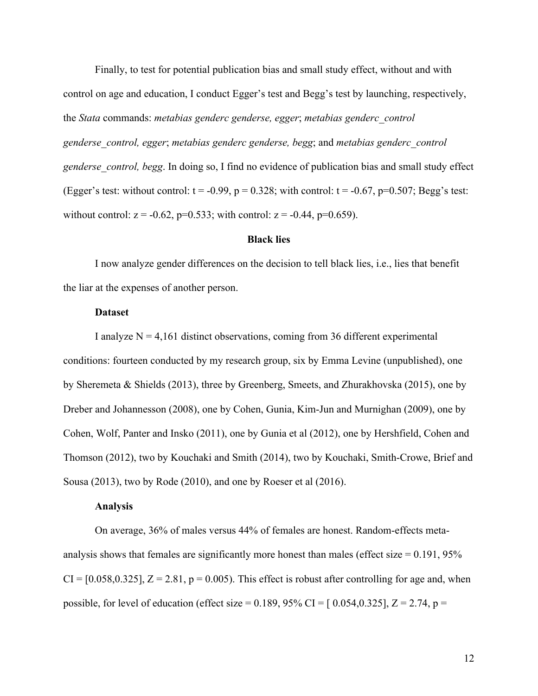Finally, to test for potential publication bias and small study effect, without and with control on age and education, I conduct Egger's test and Begg's test by launching, respectively, the *Stata* commands: *metabias genderc genderse, egger*; *metabias genderc\_control genderse\_control, egger*; *metabias genderc genderse, begg*; and *metabias genderc\_control genderse\_control, begg*. In doing so, I find no evidence of publication bias and small study effect (Egger's test: without control:  $t = -0.99$ ,  $p = 0.328$ ; with control:  $t = -0.67$ ,  $p=0.507$ ; Begg's test: without control:  $z = -0.62$ ,  $p=0.533$ ; with control:  $z = -0.44$ ,  $p=0.659$ ).

# **Black lies**

I now analyze gender differences on the decision to tell black lies, i.e., lies that benefit the liar at the expenses of another person.

#### **Dataset**

I analyze  $N = 4,161$  distinct observations, coming from 36 different experimental conditions: fourteen conducted by my research group, six by Emma Levine (unpublished), one by Sheremeta & Shields (2013), three by Greenberg, Smeets, and Zhurakhovska (2015), one by Dreber and Johannesson (2008), one by Cohen, Gunia, Kim-Jun and Murnighan (2009), one by Cohen, Wolf, Panter and Insko (2011), one by Gunia et al (2012), one by Hershfield, Cohen and Thomson (2012), two by Kouchaki and Smith (2014), two by Kouchaki, Smith-Crowe, Brief and Sousa (2013), two by Rode (2010), and one by Roeser et al (2016).

# **Analysis**

On average, 36% of males versus 44% of females are honest. Random-effects metaanalysis shows that females are significantly more honest than males (effect size  $= 0.191, 95\%$  $CI = [0.058, 0.325], Z = 2.81, p = 0.005$ . This effect is robust after controlling for age and, when possible, for level of education (effect size =  $0.189, 95\%$  CI =  $[0.054, 0.325]$ , Z = 2.74, p =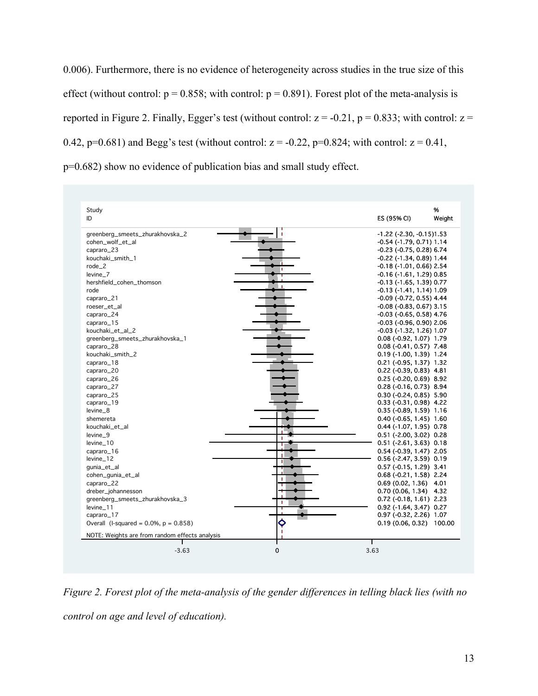0.006). Furthermore, there is no evidence of heterogeneity across studies in the true size of this effect (without control:  $p = 0.858$ ; with control:  $p = 0.891$ ). Forest plot of the meta-analysis is reported in Figure 2. Finally, Egger's test (without control:  $z = -0.21$ ,  $p = 0.833$ ; with control:  $z =$ 0.42,  $p=0.681$ ) and Begg's test (without control:  $z = -0.22$ ,  $p=0.824$ ; with control:  $z = 0.41$ , p=0.682) show no evidence of publication bias and small study effect.

| Study<br>ID                                    | %<br>Weight<br>ES (95% CI)                               |
|------------------------------------------------|----------------------------------------------------------|
| greenberg_smeets_zhurakhovska_2                | $-1.22$ ( $-2.30$ , $-0.15$ ) $1.53$                     |
| cohen_wolf_et_al                               | -0.54 (-1.79, 0.71) 1.14                                 |
| capraro_23                                     | -0.23 (-0.75, 0.28) 6.74                                 |
| kouchaki_smith_1                               | -0.22 (-1.34, 0.89) 1.44                                 |
| $rode_2$                                       | -0.18 (-1.01, 0.66) 2.54                                 |
| levine 7                                       | -0.16 (-1.61, 1.29) 0.85                                 |
| hershfield_cohen_thomson                       | -0.13 (-1.65, 1.39) 0.77                                 |
| rode                                           | -0.13 (-1.41, 1.14) 1.09                                 |
| capraro_21                                     | -0.09 (-0.72, 0.55) 4.44                                 |
| roeser_et_al                                   | $-0.08$ ( $-0.83$ , $0.67$ ) 3.15                        |
| capraro_24                                     | -0.03 (-0.65, 0.58) 4.76                                 |
| capraro_15                                     | -0.03 (-0.96, 0.90) 2.06                                 |
| kouchaki_et_al_2                               | -0.03 (-1.32, 1.26) 1.07                                 |
| greenberg_smeets_zhurakhovska_1                | $0.08$ (-0.92, 1.07) 1.79                                |
| capraro_28                                     | $0.08$ (-0.41, 0.57) 7.48                                |
| kouchaki_smith_2                               | 0.19 (-1.00, 1.39) 1.24                                  |
| capraro_18                                     | 0.21 (-0.95, 1.37) 1.32                                  |
| capraro_20                                     | $0.22$ (-0.39, 0.83) 4.81                                |
| capraro_26                                     | $0.25$ (-0.20, 0.69) 8.92                                |
| capraro_27                                     | $0.28$ (-0.16, 0.73) 8.94                                |
| capraro_25                                     | $0.30$ (-0.24, 0.85) 5.90                                |
| capraro_19                                     | 0.33 (-0.31, 0.98) 4.22                                  |
| levine_8                                       | $0.35$ (-0.89, 1.59) 1.16                                |
| shemereta                                      | $0.40$ (-0.65, 1.45) 1.60                                |
| kouchaki_et_al                                 | 0.44 (-1.07, 1.95) 0.78                                  |
| levine_9                                       | $0.51$ (-2.00, 3.02) 0.28                                |
| levine_10                                      | $0.51$ (-2.61, 3.63) $0.18$                              |
| capraro_16                                     | $0.54$ (-0.39, 1.47) 2.05                                |
| levine_12                                      | $0.56$ (-2.47, 3.59) $0.19$                              |
| qunia_et_al                                    | $0.57$ (-0.15, 1.29) 3.41                                |
| cohen_gunia_et_al                              | $0.68$ (-0.21, 1.58) 2.24                                |
| capraro_22                                     | $0.69(0.02, 1.36)$ 4.01                                  |
|                                                |                                                          |
| dreber_johannesson                             | $0.70(0.06, 1.34)$ 4.32                                  |
| greenberg_smeets_zhurakhovska_3                | $0.72$ (-0.18, 1.61) 2.23                                |
| levine_11<br>capraro_17                        | $0.92$ (-1.64, 3.47) $0.27$<br>$0.97$ (-0.32, 2.26) 1.07 |
| Overall (I-squared = $0.0\%$ , $p = 0.858$ )   |                                                          |
| Ŷ<br>f.                                        | 0.19 (0.06, 0.32) 100.00                                 |
| NOTE: Weights are from random effects analysis |                                                          |

*Figure 2. Forest plot of the meta-analysis of the gender differences in telling black lies (with no control on age and level of education).*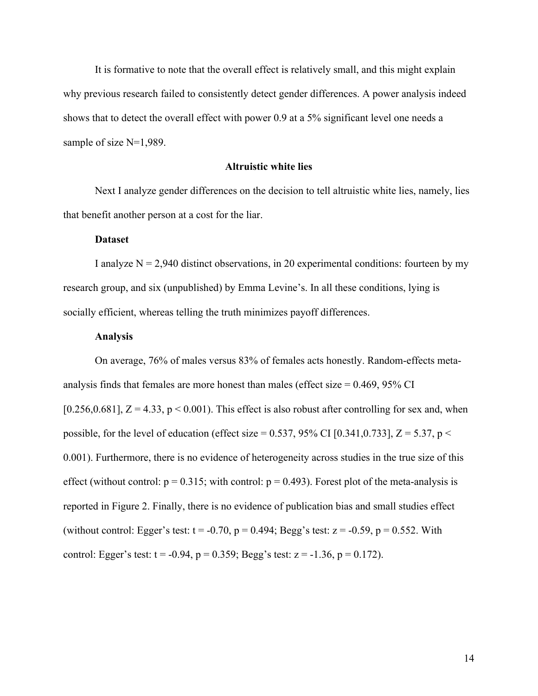It is formative to note that the overall effect is relatively small, and this might explain why previous research failed to consistently detect gender differences. A power analysis indeed shows that to detect the overall effect with power 0.9 at a 5% significant level one needs a sample of size N=1,989.

#### **Altruistic white lies**

Next I analyze gender differences on the decision to tell altruistic white lies, namely, lies that benefit another person at a cost for the liar.

# **Dataset**

I analyze  $N = 2,940$  distinct observations, in 20 experimental conditions: fourteen by my research group, and six (unpublished) by Emma Levine's. In all these conditions, lying is socially efficient, whereas telling the truth minimizes payoff differences.

# **Analysis**

On average, 76% of males versus 83% of females acts honestly. Random-effects metaanalysis finds that females are more honest than males (effect size  $= 0.469, 95\%$  CI [0.256,0.681],  $Z = 4.33$ ,  $p < 0.001$ ). This effect is also robust after controlling for sex and, when possible, for the level of education (effect size = 0.537, 95% CI [0.341,0.733],  $Z = 5.37$ , p < 0.001). Furthermore, there is no evidence of heterogeneity across studies in the true size of this effect (without control:  $p = 0.315$ ; with control:  $p = 0.493$ ). Forest plot of the meta-analysis is reported in Figure 2. Finally, there is no evidence of publication bias and small studies effect (without control: Egger's test:  $t = -0.70$ ,  $p = 0.494$ ; Begg's test:  $z = -0.59$ ,  $p = 0.552$ . With control: Egger's test:  $t = -0.94$ ,  $p = 0.359$ ; Begg's test:  $z = -1.36$ ,  $p = 0.172$ ).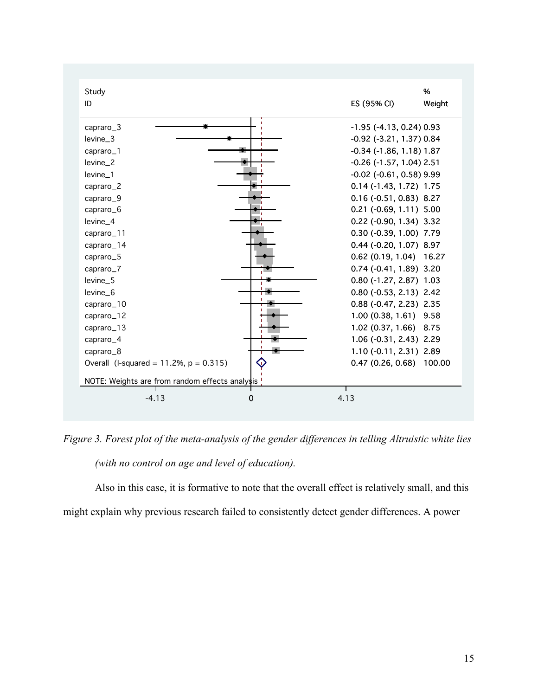

*Figure 3. Forest plot of the meta-analysis of the gender differences in telling Altruistic white lies (with no control on age and level of education).* 

Also in this case, it is formative to note that the overall effect is relatively small, and this might explain why previous research failed to consistently detect gender differences. A power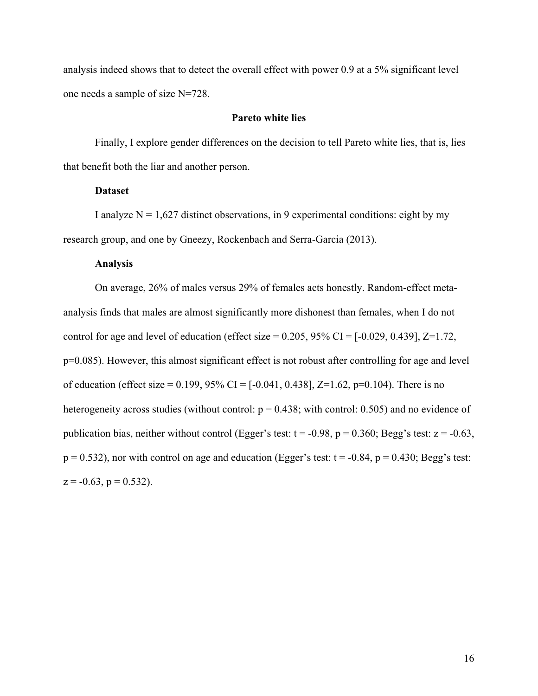analysis indeed shows that to detect the overall effect with power 0.9 at a 5% significant level one needs a sample of size N=728.

# **Pareto white lies**

Finally, I explore gender differences on the decision to tell Pareto white lies, that is, lies that benefit both the liar and another person.

# **Dataset**

I analyze  $N = 1,627$  distinct observations, in 9 experimental conditions: eight by my research group, and one by Gneezy, Rockenbach and Serra-Garcia (2013).

# **Analysis**

On average, 26% of males versus 29% of females acts honestly. Random-effect metaanalysis finds that males are almost significantly more dishonest than females, when I do not control for age and level of education (effect size  $= 0.205$ ,  $95\%$  CI  $=$  [-0.029, 0.439], Z=1.72, p=0.085). However, this almost significant effect is not robust after controlling for age and level of education (effect size =  $0.199, 95\%$  CI =  $[-0.041, 0.438]$ , Z= $1.62$ , p= $0.104$ ). There is no heterogeneity across studies (without control:  $p = 0.438$ ; with control: 0.505) and no evidence of publication bias, neither without control (Egger's test:  $t = -0.98$ ,  $p = 0.360$ ; Begg's test:  $z = -0.63$ ,  $p = 0.532$ ), nor with control on age and education (Egger's test:  $t = -0.84$ ,  $p = 0.430$ ; Begg's test:  $z = -0.63$ ,  $p = 0.532$ ).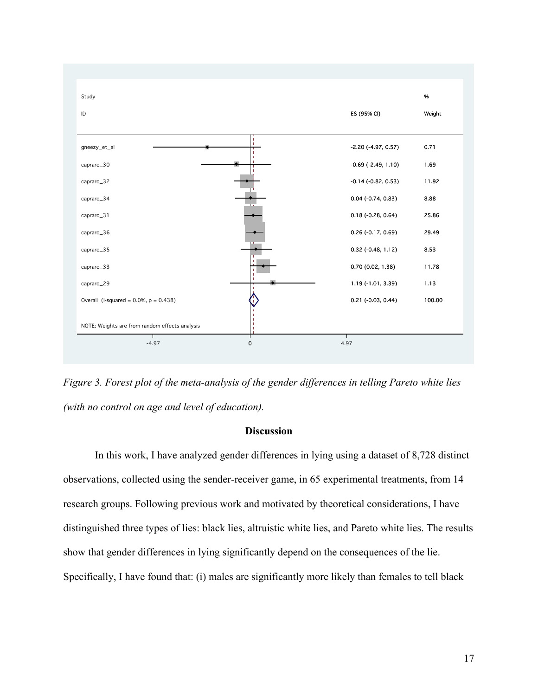

*Figure 3. Forest plot of the meta-analysis of the gender differences in telling Pareto white lies (with no control on age and level of education).*

# **Discussion**

In this work, I have analyzed gender differences in lying using a dataset of 8,728 distinct observations, collected using the sender-receiver game, in 65 experimental treatments, from 14 research groups. Following previous work and motivated by theoretical considerations, I have distinguished three types of lies: black lies, altruistic white lies, and Pareto white lies. The results show that gender differences in lying significantly depend on the consequences of the lie. Specifically, I have found that: (i) males are significantly more likely than females to tell black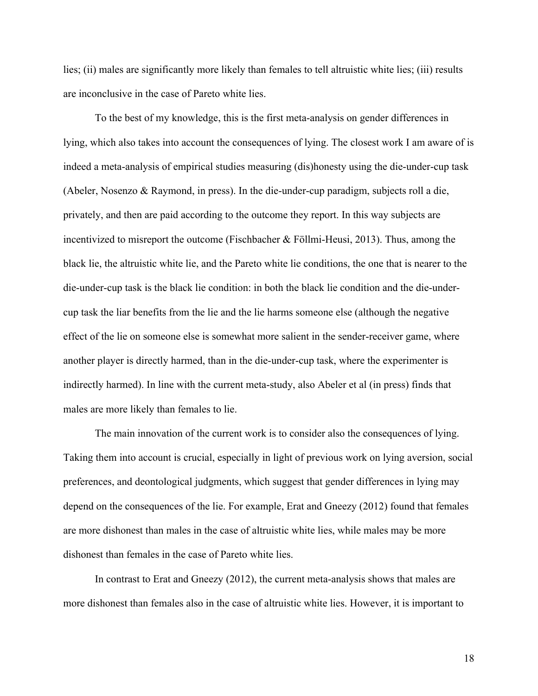lies; (ii) males are significantly more likely than females to tell altruistic white lies; (iii) results are inconclusive in the case of Pareto white lies.

To the best of my knowledge, this is the first meta-analysis on gender differences in lying, which also takes into account the consequences of lying. The closest work I am aware of is indeed a meta-analysis of empirical studies measuring (dis)honesty using the die-under-cup task (Abeler, Nosenzo & Raymond, in press). In the die-under-cup paradigm, subjects roll a die, privately, and then are paid according to the outcome they report. In this way subjects are incentivized to misreport the outcome (Fischbacher & Föllmi-Heusi, 2013). Thus, among the black lie, the altruistic white lie, and the Pareto white lie conditions, the one that is nearer to the die-under-cup task is the black lie condition: in both the black lie condition and the die-undercup task the liar benefits from the lie and the lie harms someone else (although the negative effect of the lie on someone else is somewhat more salient in the sender-receiver game, where another player is directly harmed, than in the die-under-cup task, where the experimenter is indirectly harmed). In line with the current meta-study, also Abeler et al (in press) finds that males are more likely than females to lie.

The main innovation of the current work is to consider also the consequences of lying. Taking them into account is crucial, especially in light of previous work on lying aversion, social preferences, and deontological judgments, which suggest that gender differences in lying may depend on the consequences of the lie. For example, Erat and Gneezy (2012) found that females are more dishonest than males in the case of altruistic white lies, while males may be more dishonest than females in the case of Pareto white lies.

In contrast to Erat and Gneezy (2012), the current meta-analysis shows that males are more dishonest than females also in the case of altruistic white lies. However, it is important to

18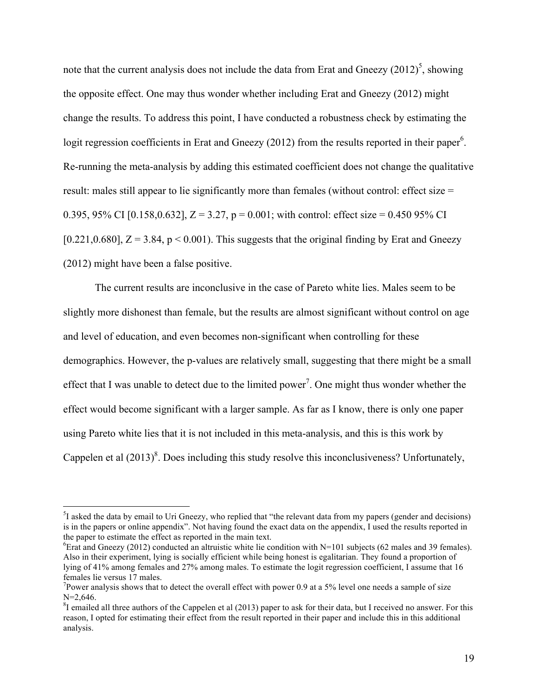note that the current analysis does not include the data from Erat and Gneezy  $(2012)^5$ , showing the opposite effect. One may thus wonder whether including Erat and Gneezy (2012) might change the results. To address this point, I have conducted a robustness check by estimating the logit regression coefficients in Erat and Gneezy (2012) from the results reported in their paper<sup>6</sup>. Re-running the meta-analysis by adding this estimated coefficient does not change the qualitative result: males still appear to lie significantly more than females (without control: effect size = 0.395, 95% CI [0.158,0.632],  $Z = 3.27$ ,  $p = 0.001$ ; with control: effect size = 0.450 95% CI [0.221,0.680],  $Z = 3.84$ ,  $p < 0.001$ ]. This suggests that the original finding by Erat and Gneezy (2012) might have been a false positive.

The current results are inconclusive in the case of Pareto white lies. Males seem to be slightly more dishonest than female, but the results are almost significant without control on age and level of education, and even becomes non-significant when controlling for these demographics. However, the p-values are relatively small, suggesting that there might be a small effect that I was unable to detect due to the limited power<sup>7</sup>. One might thus wonder whether the effect would become significant with a larger sample. As far as I know, there is only one paper using Pareto white lies that it is not included in this meta-analysis, and this is this work by Cappelen et al  $(2013)^8$ . Does including this study resolve this inconclusiveness? Unfortunately,

 <sup>5</sup>  ${}^{5}I$  asked the data by email to Uri Gneezy, who replied that "the relevant data from my papers (gender and decisions) is in the papers or online appendix". Not having found the exact data on the appendix, I used the results reported in the paper to estimate the effect as reported in the main text.

<sup>&</sup>lt;sup>6</sup>Erat and Gneezy (2012) conducted an altruistic white lie condition with N=101 subjects (62 males and 39 females). Also in their experiment, lying is socially efficient while being honest is egalitarian. They found a proportion of lying of 41% among females and 27% among males. To estimate the logit regression coefficient, I assume that 16 females lie versus 17 males.

<sup>&</sup>lt;sup>7</sup>Power analysis shows that to detect the overall effect with power 0.9 at a 5% level one needs a sample of size  $N=2.646$ .

 ${}^{8}$ I emailed all three authors of the Cappelen et al (2013) paper to ask for their data, but I received no answer. For this reason, I opted for estimating their effect from the result reported in their paper and include this in this additional analysis.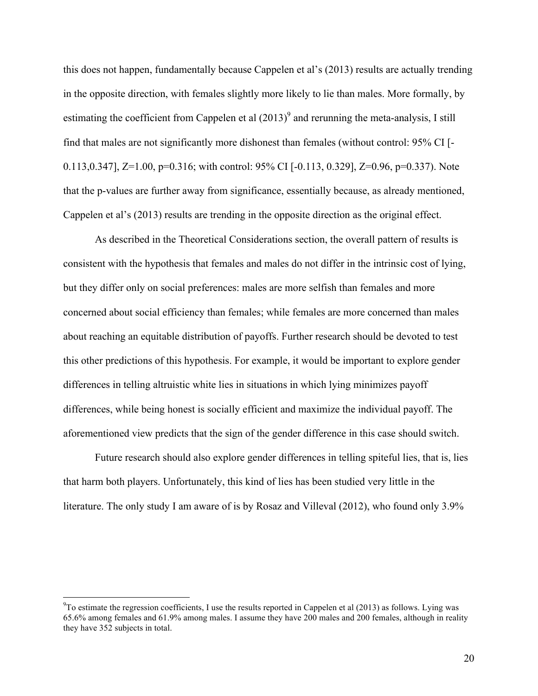this does not happen, fundamentally because Cappelen et al's (2013) results are actually trending in the opposite direction, with females slightly more likely to lie than males. More formally, by estimating the coefficient from Cappelen et al  $(2013)^9$  and rerunning the meta-analysis, I still find that males are not significantly more dishonest than females (without control: 95% CI [- 0.113,0.347], Z=1.00, p=0.316; with control: 95% CI [-0.113, 0.329], Z=0.96, p=0.337). Note that the p-values are further away from significance, essentially because, as already mentioned, Cappelen et al's (2013) results are trending in the opposite direction as the original effect.

As described in the Theoretical Considerations section, the overall pattern of results is consistent with the hypothesis that females and males do not differ in the intrinsic cost of lying, but they differ only on social preferences: males are more selfish than females and more concerned about social efficiency than females; while females are more concerned than males about reaching an equitable distribution of payoffs. Further research should be devoted to test this other predictions of this hypothesis. For example, it would be important to explore gender differences in telling altruistic white lies in situations in which lying minimizes payoff differences, while being honest is socially efficient and maximize the individual payoff. The aforementioned view predicts that the sign of the gender difference in this case should switch.

Future research should also explore gender differences in telling spiteful lies, that is, lies that harm both players. Unfortunately, this kind of lies has been studied very little in the literature. The only study I am aware of is by Rosaz and Villeval (2012), who found only 3.9%

<sup>-&</sup>lt;br>9  $\rm{^{9}To}$  estimate the regression coefficients, I use the results reported in Cappelen et al (2013) as follows. Lying was 65.6% among females and 61.9% among males. I assume they have 200 males and 200 females, although in reality they have 352 subjects in total.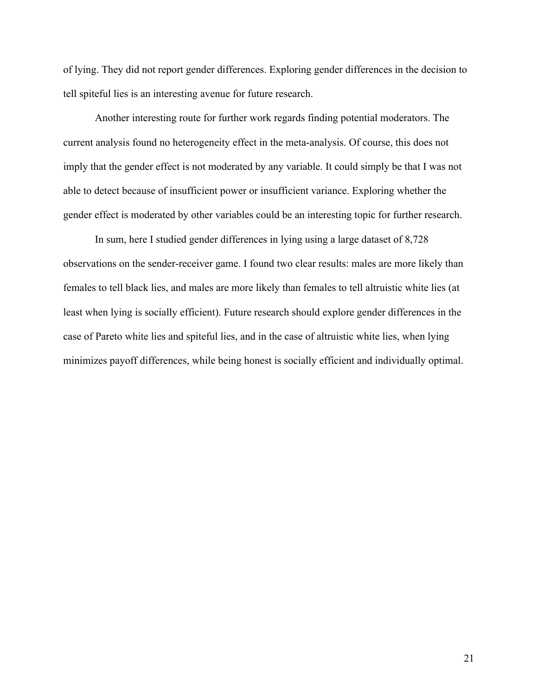of lying. They did not report gender differences. Exploring gender differences in the decision to tell spiteful lies is an interesting avenue for future research.

Another interesting route for further work regards finding potential moderators. The current analysis found no heterogeneity effect in the meta-analysis. Of course, this does not imply that the gender effect is not moderated by any variable. It could simply be that I was not able to detect because of insufficient power or insufficient variance. Exploring whether the gender effect is moderated by other variables could be an interesting topic for further research.

In sum, here I studied gender differences in lying using a large dataset of 8,728 observations on the sender-receiver game. I found two clear results: males are more likely than females to tell black lies, and males are more likely than females to tell altruistic white lies (at least when lying is socially efficient). Future research should explore gender differences in the case of Pareto white lies and spiteful lies, and in the case of altruistic white lies, when lying minimizes payoff differences, while being honest is socially efficient and individually optimal.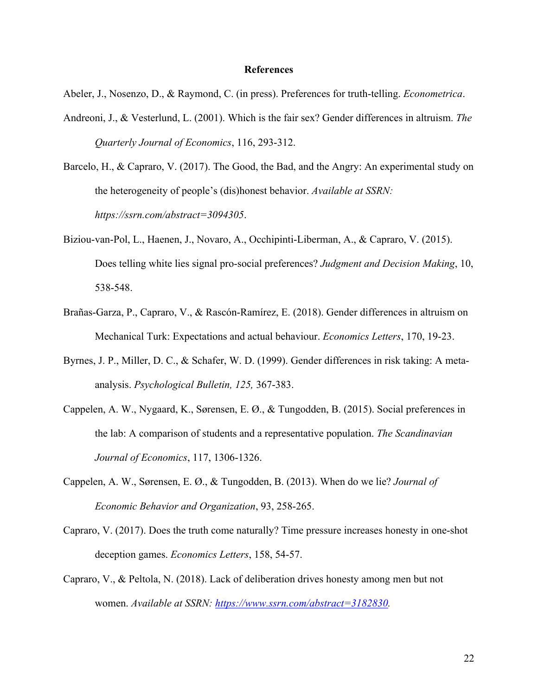#### **References**

Abeler, J., Nosenzo, D., & Raymond, C. (in press). Preferences for truth-telling. *Econometrica*.

- Andreoni, J., & Vesterlund, L. (2001). Which is the fair sex? Gender differences in altruism. *The Quarterly Journal of Economics*, 116, 293-312.
- Barcelo, H., & Capraro, V. (2017). The Good, the Bad, and the Angry: An experimental study on the heterogeneity of people's (dis)honest behavior. *Available at SSRN: https://ssrn.com/abstract=3094305*.
- Biziou-van-Pol, L., Haenen, J., Novaro, A., Occhipinti-Liberman, A., & Capraro, V. (2015). Does telling white lies signal pro-social preferences? *Judgment and Decision Making*, 10, 538-548.
- Brañas-Garza, P., Capraro, V., & Rascón-Ramírez, E. (2018). Gender differences in altruism on Mechanical Turk: Expectations and actual behaviour. *Economics Letters*, 170, 19-23.
- Byrnes, J. P., Miller, D. C., & Schafer, W. D. (1999). Gender differences in risk taking: A metaanalysis. *Psychological Bulletin, 125,* 367-383.
- Cappelen, A. W., Nygaard, K., Sørensen, E. Ø., & Tungodden, B. (2015). Social preferences in the lab: A comparison of students and a representative population. *The Scandinavian Journal of Economics*, 117, 1306-1326.
- Cappelen, A. W., Sørensen, E. Ø., & Tungodden, B. (2013). When do we lie? *Journal of Economic Behavior and Organization*, 93, 258-265.
- Capraro, V. (2017). Does the truth come naturally? Time pressure increases honesty in one-shot deception games. *Economics Letters*, 158, 54-57.
- Capraro, V., & Peltola, N. (2018). Lack of deliberation drives honesty among men but not women. *Available at SSRN: https://www.ssrn.com/abstract=3182830.*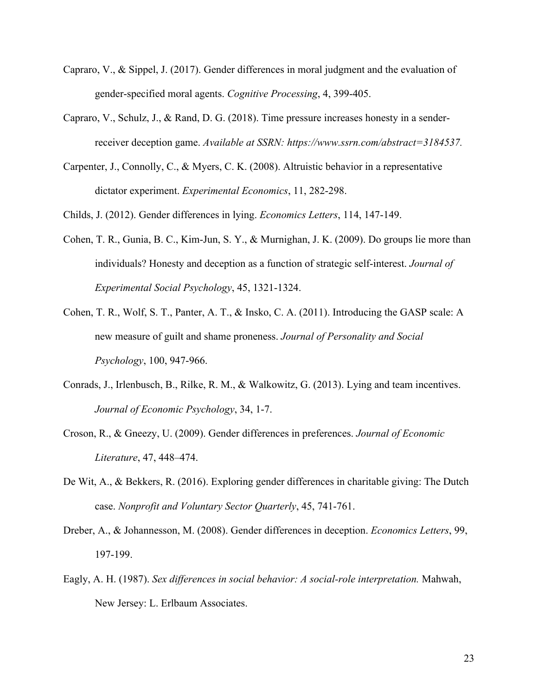- Capraro, V., & Sippel, J. (2017). Gender differences in moral judgment and the evaluation of gender-specified moral agents. *Cognitive Processing*, 4, 399-405.
- Capraro, V., Schulz, J., & Rand, D. G. (2018). Time pressure increases honesty in a senderreceiver deception game. *Available at SSRN: https://www.ssrn.com/abstract=3184537.*
- Carpenter, J., Connolly, C., & Myers, C. K. (2008). Altruistic behavior in a representative dictator experiment. *Experimental Economics*, 11, 282-298.
- Childs, J. (2012). Gender differences in lying. *Economics Letters*, 114, 147-149.
- Cohen, T. R., Gunia, B. C., Kim-Jun, S. Y., & Murnighan, J. K. (2009). Do groups lie more than individuals? Honesty and deception as a function of strategic self-interest. *Journal of Experimental Social Psychology*, 45, 1321-1324.
- Cohen, T. R., Wolf, S. T., Panter, A. T., & Insko, C. A. (2011). Introducing the GASP scale: A new measure of guilt and shame proneness. *Journal of Personality and Social Psychology*, 100, 947-966.
- Conrads, J., Irlenbusch, B., Rilke, R. M., & Walkowitz, G. (2013). Lying and team incentives. *Journal of Economic Psychology*, 34, 1-7.
- Croson, R., & Gneezy, U. (2009). Gender differences in preferences. *Journal of Economic Literature*, 47, 448–474.
- De Wit, A., & Bekkers, R. (2016). Exploring gender differences in charitable giving: The Dutch case. *Nonprofit and Voluntary Sector Quarterly*, 45, 741-761.
- Dreber, A., & Johannesson, M. (2008). Gender differences in deception. *Economics Letters*, 99, 197-199.
- Eagly, A. H. (1987). *Sex differences in social behavior: A social-role interpretation.* Mahwah, New Jersey: L. Erlbaum Associates.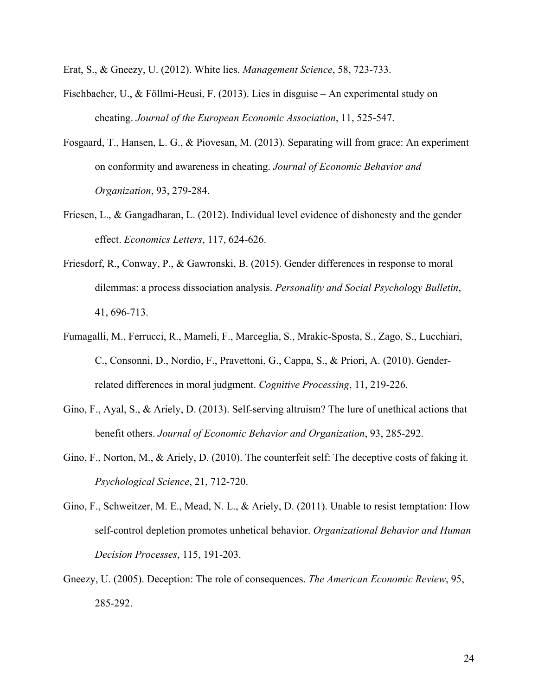Erat, S., & Gneezy, U. (2012). White lies. *Management Science*, 58, 723-733.

- Fischbacher, U., & Föllmi-Heusi, F. (2013). Lies in disguise An experimental study on cheating. *Journal of the European Economic Association*, 11, 525-547.
- Fosgaard, T., Hansen, L. G., & Piovesan, M. (2013). Separating will from grace: An experiment on conformity and awareness in cheating. *Journal of Economic Behavior and Organization*, 93, 279-284.
- Friesen, L., & Gangadharan, L. (2012). Individual level evidence of dishonesty and the gender effect. *Economics Letters*, 117, 624-626.
- Friesdorf, R., Conway, P., & Gawronski, B. (2015). Gender differences in response to moral dilemmas: a process dissociation analysis. *Personality and Social Psychology Bulletin*, 41, 696-713.
- Fumagalli, M., Ferrucci, R., Mameli, F., Marceglia, S., Mrakic-Sposta, S., Zago, S., Lucchiari, C., Consonni, D., Nordio, F., Pravettoni, G., Cappa, S., & Priori, A. (2010). Genderrelated differences in moral judgment. *Cognitive Processing*, 11, 219-226.
- Gino, F., Ayal, S., & Ariely, D. (2013). Self-serving altruism? The lure of unethical actions that benefit others. *Journal of Economic Behavior and Organization*, 93, 285-292.
- Gino, F., Norton, M., & Ariely, D. (2010). The counterfeit self: The deceptive costs of faking it. *Psychological Science*, 21, 712-720.
- Gino, F., Schweitzer, M. E., Mead, N. L., & Ariely, D. (2011). Unable to resist temptation: How self-control depletion promotes unhetical behavior. *Organizational Behavior and Human Decision Processes*, 115, 191-203.
- Gneezy, U. (2005). Deception: The role of consequences. *The American Economic Review*, 95, 285-292.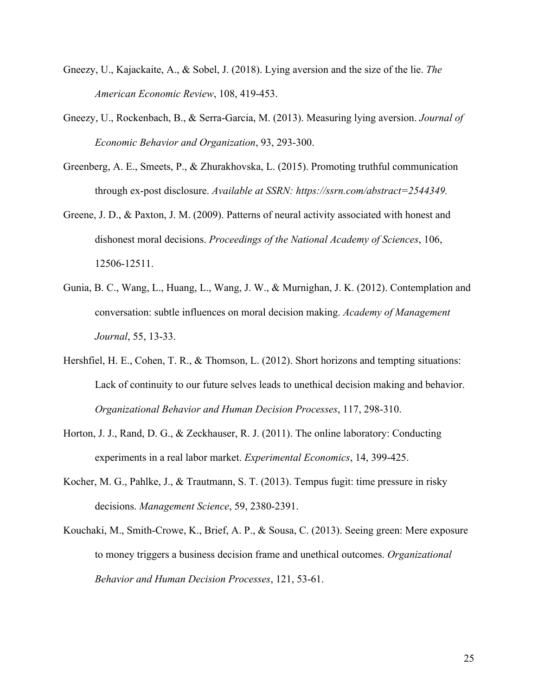- Gneezy, U., Kajackaite, A., & Sobel, J. (2018). Lying aversion and the size of the lie. *The American Economic Review*, 108, 419-453.
- Gneezy, U., Rockenbach, B., & Serra-Garcia, M. (2013). Measuring lying aversion. *Journal of Economic Behavior and Organization*, 93, 293-300.
- Greenberg, A. E., Smeets, P., & Zhurakhovska, L. (2015). Promoting truthful communication through ex-post disclosure. *Available at SSRN: https://ssrn.com/abstract=2544349.*
- Greene, J. D., & Paxton, J. M. (2009). Patterns of neural activity associated with honest and dishonest moral decisions. *Proceedings of the National Academy of Sciences*, 106, 12506-12511.
- Gunia, B. C., Wang, L., Huang, L., Wang, J. W., & Murnighan, J. K. (2012). Contemplation and conversation: subtle influences on moral decision making. *Academy of Management Journal*, 55, 13-33.
- Hershfiel, H. E., Cohen, T. R., & Thomson, L. (2012). Short horizons and tempting situations: Lack of continuity to our future selves leads to unethical decision making and behavior. *Organizational Behavior and Human Decision Processes*, 117, 298-310.
- Horton, J. J., Rand, D. G., & Zeckhauser, R. J. (2011). The online laboratory: Conducting experiments in a real labor market. *Experimental Economics*, 14, 399-425.
- Kocher, M. G., Pahlke, J., & Trautmann, S. T. (2013). Tempus fugit: time pressure in risky decisions. *Management Science*, 59, 2380-2391.
- Kouchaki, M., Smith-Crowe, K., Brief, A. P., & Sousa, C. (2013). Seeing green: Mere exposure to money triggers a business decision frame and unethical outcomes. *Organizational Behavior and Human Decision Processes*, 121, 53-61.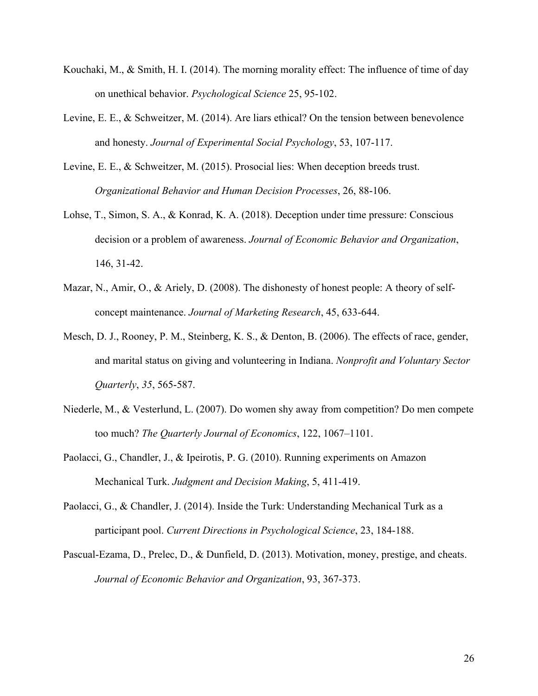- Kouchaki, M., & Smith, H. I. (2014). The morning morality effect: The influence of time of day on unethical behavior. *Psychological Science* 25, 95-102.
- Levine, E. E., & Schweitzer, M. (2014). Are liars ethical? On the tension between benevolence and honesty. *Journal of Experimental Social Psychology*, 53, 107-117.
- Levine, E. E., & Schweitzer, M. (2015). Prosocial lies: When deception breeds trust. *Organizational Behavior and Human Decision Processes*, 26, 88-106.
- Lohse, T., Simon, S. A., & Konrad, K. A. (2018). Deception under time pressure: Conscious decision or a problem of awareness. *Journal of Economic Behavior and Organization*, 146, 31-42.
- Mazar, N., Amir, O., & Ariely, D. (2008). The dishonesty of honest people: A theory of selfconcept maintenance. *Journal of Marketing Research*, 45, 633-644.
- Mesch, D. J., Rooney, P. M., Steinberg, K. S., & Denton, B. (2006). The effects of race, gender, and marital status on giving and volunteering in Indiana. *Nonprofit and Voluntary Sector Quarterly*, *35*, 565-587.
- Niederle, M., & Vesterlund, L. (2007). Do women shy away from competition? Do men compete too much? *The Quarterly Journal of Economics*, 122, 1067–1101.
- Paolacci, G., Chandler, J., & Ipeirotis, P. G. (2010). Running experiments on Amazon Mechanical Turk. *Judgment and Decision Making*, 5, 411-419.
- Paolacci, G., & Chandler, J. (2014). Inside the Turk: Understanding Mechanical Turk as a participant pool. *Current Directions in Psychological Science*, 23, 184-188.
- Pascual-Ezama, D., Prelec, D., & Dunfield, D. (2013). Motivation, money, prestige, and cheats. *Journal of Economic Behavior and Organization*, 93, 367-373.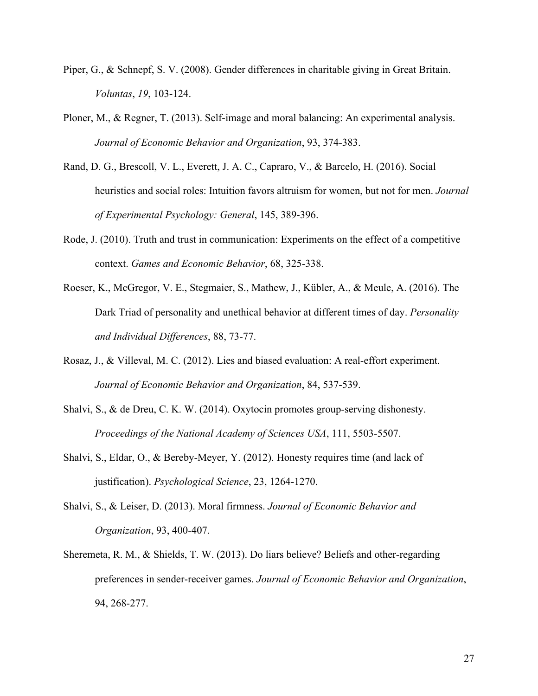- Piper, G., & Schnepf, S. V. (2008). Gender differences in charitable giving in Great Britain. *Voluntas*, *19*, 103-124.
- Ploner, M., & Regner, T. (2013). Self-image and moral balancing: An experimental analysis. *Journal of Economic Behavior and Organization*, 93, 374-383.
- Rand, D. G., Brescoll, V. L., Everett, J. A. C., Capraro, V., & Barcelo, H. (2016). Social heuristics and social roles: Intuition favors altruism for women, but not for men. *Journal of Experimental Psychology: General*, 145, 389-396.
- Rode, J. (2010). Truth and trust in communication: Experiments on the effect of a competitive context. *Games and Economic Behavior*, 68, 325-338.
- Roeser, K., McGregor, V. E., Stegmaier, S., Mathew, J., Kübler, A., & Meule, A. (2016). The Dark Triad of personality and unethical behavior at different times of day. *Personality and Individual Differences*, 88, 73-77.
- Rosaz, J., & Villeval, M. C. (2012). Lies and biased evaluation: A real-effort experiment. *Journal of Economic Behavior and Organization*, 84, 537-539.
- Shalvi, S., & de Dreu, C. K. W. (2014). Oxytocin promotes group-serving dishonesty. *Proceedings of the National Academy of Sciences USA*, 111, 5503-5507.
- Shalvi, S., Eldar, O., & Bereby-Meyer, Y. (2012). Honesty requires time (and lack of justification). *Psychological Science*, 23, 1264-1270.
- Shalvi, S., & Leiser, D. (2013). Moral firmness. *Journal of Economic Behavior and Organization*, 93, 400-407.
- Sheremeta, R. M., & Shields, T. W. (2013). Do liars believe? Beliefs and other-regarding preferences in sender-receiver games. *Journal of Economic Behavior and Organization*, 94, 268-277.